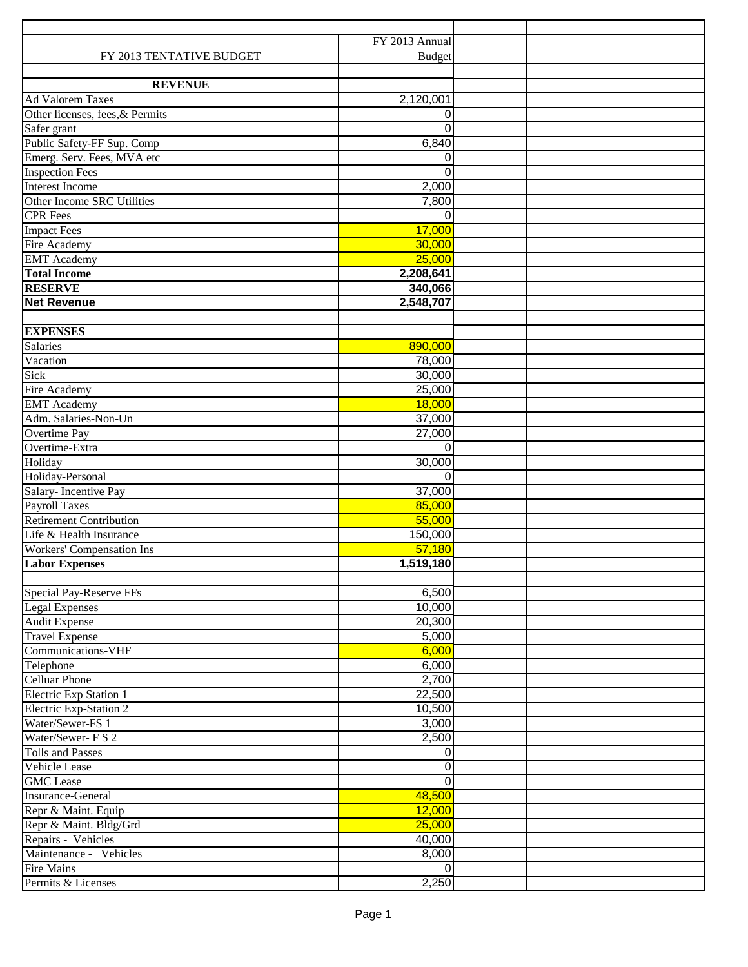|                                 | FY 2013 Annual |  |  |
|---------------------------------|----------------|--|--|
| FY 2013 TENTATIVE BUDGET        | <b>Budget</b>  |  |  |
|                                 |                |  |  |
| <b>REVENUE</b>                  |                |  |  |
| <b>Ad Valorem Taxes</b>         | 2,120,001      |  |  |
| Other licenses, fees, & Permits | 0              |  |  |
| Safer grant                     | $\Omega$       |  |  |
| Public Safety-FF Sup. Comp      | 6,840          |  |  |
| Emerg. Serv. Fees, MVA etc      | 0              |  |  |
| <b>Inspection Fees</b>          | $\Omega$       |  |  |
| <b>Interest Income</b>          | 2,000          |  |  |
| Other Income SRC Utilities      | 7,800          |  |  |
| <b>CPR</b> Fees                 | $\Omega$       |  |  |
| <b>Impact Fees</b>              | 17,000         |  |  |
| Fire Academy                    | 30,000         |  |  |
| <b>EMT</b> Academy              | 25,000         |  |  |
| <b>Total Income</b>             | 2,208,641      |  |  |
| <b>RESERVE</b>                  | 340,066        |  |  |
| <b>Net Revenue</b>              | 2,548,707      |  |  |
|                                 |                |  |  |
| <b>EXPENSES</b>                 |                |  |  |
| <b>Salaries</b>                 | 890,000        |  |  |
| Vacation                        | 78,000         |  |  |
| Sick                            | 30,000         |  |  |
| Fire Academy                    | 25,000         |  |  |
| <b>EMT</b> Academy              | 18,000         |  |  |
| Adm. Salaries-Non-Un            | 37,000         |  |  |
| Overtime Pay                    | 27,000         |  |  |
| Overtime-Extra                  | $\Omega$       |  |  |
| Holiday                         | 30,000         |  |  |
| Holiday-Personal                | 0              |  |  |
| Salary-Incentive Pay            | 37,000         |  |  |
| <b>Payroll Taxes</b>            | 85,000         |  |  |
| <b>Retirement Contribution</b>  | 55,000         |  |  |
| Life & Health Insurance         | 150,000        |  |  |
| Workers' Compensation Ins       | 57,180         |  |  |
| <b>Labor Expenses</b>           | 1,519,180      |  |  |
|                                 |                |  |  |
| Special Pay-Reserve FFs         | 6,500          |  |  |
| <b>Legal Expenses</b>           | 10,000         |  |  |
| <b>Audit Expense</b>            | 20,300         |  |  |
| <b>Travel Expense</b>           | 5,000          |  |  |
| Communications-VHF              | 6,000          |  |  |
| Telephone                       | 6,000          |  |  |
| <b>Celluar Phone</b>            | 2,700          |  |  |
| Electric Exp Station 1          | 22,500         |  |  |
| <b>Electric Exp-Station 2</b>   | 10,500         |  |  |
| Water/Sewer-FS 1                | 3,000          |  |  |
| Water/Sewer-FS 2                | 2,500          |  |  |
| <b>Tolls and Passes</b>         | 0              |  |  |
| Vehicle Lease                   | 0              |  |  |
| <b>GMC</b> Lease                | $\overline{0}$ |  |  |
| <b>Insurance-General</b>        | 48,500         |  |  |
| Repr & Maint. Equip             | 12,000         |  |  |
| Repr & Maint. Bldg/Grd          | 25,000         |  |  |
| Repairs - Vehicles              | 40,000         |  |  |
| Maintenance - Vehicles          | 8,000          |  |  |
| <b>Fire Mains</b>               | $\Omega$       |  |  |
| Permits & Licenses              | 2,250          |  |  |